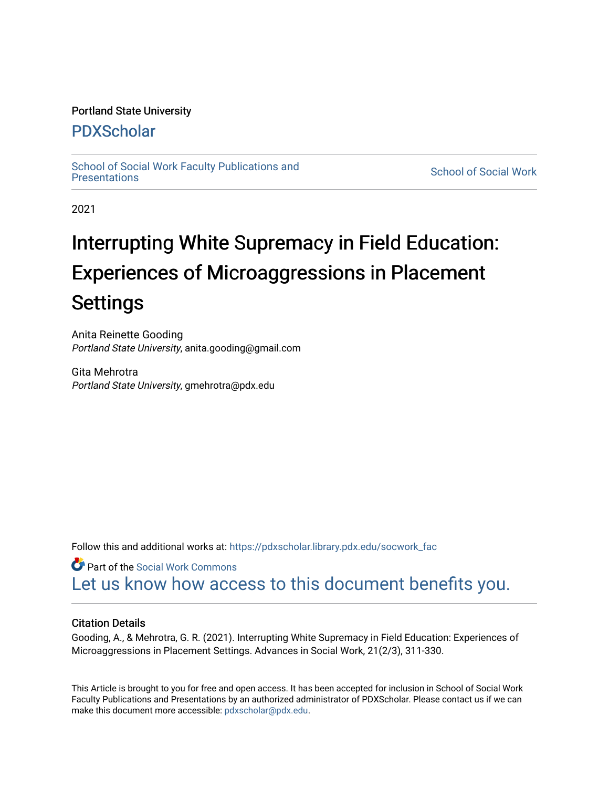## Portland State University

## [PDXScholar](https://pdxscholar.library.pdx.edu/)

School of Social Work Faculty Publications and<br>Presentations

**School of Social Work** 

2021

# Interrupting White Supremacy in Field Education: Experiences of Microaggressions in Placement **Settings**

Anita Reinette Gooding Portland State University, anita.gooding@gmail.com

Gita Mehrotra Portland State University, gmehrotra@pdx.edu

Follow this and additional works at: [https://pdxscholar.library.pdx.edu/socwork\\_fac](https://pdxscholar.library.pdx.edu/socwork_fac?utm_source=pdxscholar.library.pdx.edu%2Fsocwork_fac%2F583&utm_medium=PDF&utm_campaign=PDFCoverPages) 

Part of the [Social Work Commons](http://network.bepress.com/hgg/discipline/713?utm_source=pdxscholar.library.pdx.edu%2Fsocwork_fac%2F583&utm_medium=PDF&utm_campaign=PDFCoverPages) [Let us know how access to this document benefits you.](http://library.pdx.edu/services/pdxscholar-services/pdxscholar-feedback/?ref=https://pdxscholar.library.pdx.edu/socwork_fac/583) 

## Citation Details

Gooding, A., & Mehrotra, G. R. (2021). Interrupting White Supremacy in Field Education: Experiences of Microaggressions in Placement Settings. Advances in Social Work, 21(2/3), 311-330.

This Article is brought to you for free and open access. It has been accepted for inclusion in School of Social Work Faculty Publications and Presentations by an authorized administrator of PDXScholar. Please contact us if we can make this document more accessible: [pdxscholar@pdx.edu.](mailto:pdxscholar@pdx.edu)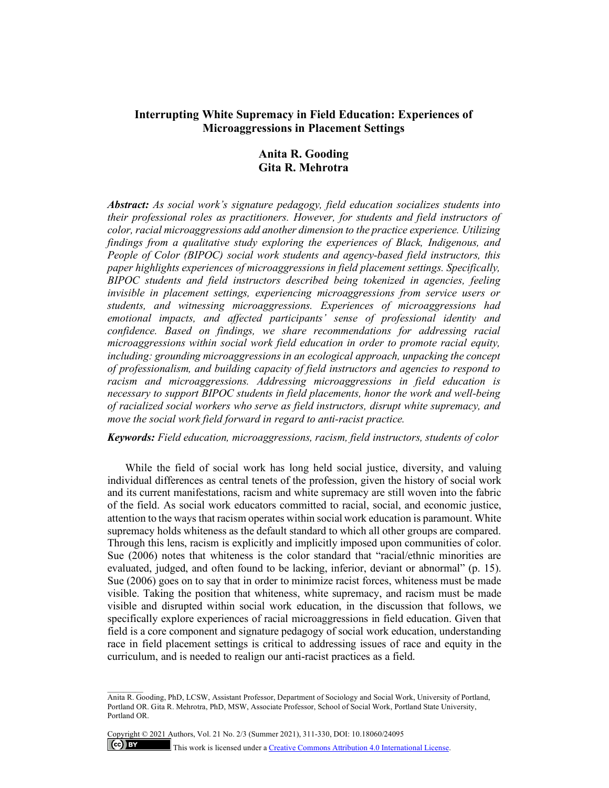## **Interrupting White Supremacy in Field Education: Experiences of Microaggressions in Placement Settings**

## **Anita R. Gooding Gita R. Mehrotra**

*Abstract: As social work's signature pedagogy, field education socializes students into their professional roles as practitioners. However, for students and field instructors of color, racial microaggressions add another dimension to the practice experience. Utilizing findings from a qualitative study exploring the experiences of Black, Indigenous, and People of Color (BIPOC) social work students and agency-based field instructors, this paper highlights experiences of microaggressions in field placement settings. Specifically, BIPOC students and field instructors described being tokenized in agencies, feeling invisible in placement settings, experiencing microaggressions from service users or students, and witnessing microaggressions. Experiences of microaggressions had emotional impacts, and affected participants' sense of professional identity and confidence. Based on findings, we share recommendations for addressing racial microaggressions within social work field education in order to promote racial equity, including: grounding microaggressions in an ecological approach, unpacking the concept of professionalism, and building capacity of field instructors and agencies to respond to racism and microaggressions. Addressing microaggressions in field education is necessary to support BIPOC students in field placements, honor the work and well-being of racialized social workers who serve as field instructors, disrupt white supremacy, and move the social work field forward in regard to anti-racist practice.*

*Keywords: Field education, microaggressions, racism, field instructors, students of color*

While the field of social work has long held social justice, diversity, and valuing individual differences as central tenets of the profession, given the history of social work and its current manifestations, racism and white supremacy are still woven into the fabric of the field. As social work educators committed to racial, social, and economic justice, attention to the ways that racism operates within social work education is paramount. White supremacy holds whiteness as the default standard to which all other groups are compared. Through this lens, racism is explicitly and implicitly imposed upon communities of color. Sue (2006) notes that whiteness is the color standard that "racial/ethnic minorities are evaluated, judged, and often found to be lacking, inferior, deviant or abnormal" (p. 15). Sue (2006) goes on to say that in order to minimize racist forces, whiteness must be made visible. Taking the position that whiteness, white supremacy, and racism must be made visible and disrupted within social work education, in the discussion that follows, we specifically explore experiences of racial microaggressions in field education. Given that field is a core component and signature pedagogy of social work education, understanding race in field placement settings is critical to addressing issues of race and equity in the curriculum, and is needed to realign our anti-racist practices as a field.

Copyright © 2021 Authors, Vol. 21 No. 2/3 (Summer 2021), 311-330, DOI: 10.18060/24095

 $(cc)$  BY

This work is licensed under a **Creative Commons Attribution 4.0 International License**.

Anita R. Gooding, PhD, LCSW, Assistant Professor, Department of Sociology and Social Work, University of Portland, Portland OR. Gita R. Mehrotra, PhD, MSW, Associate Professor, School of Social Work, Portland State University, Portland OR.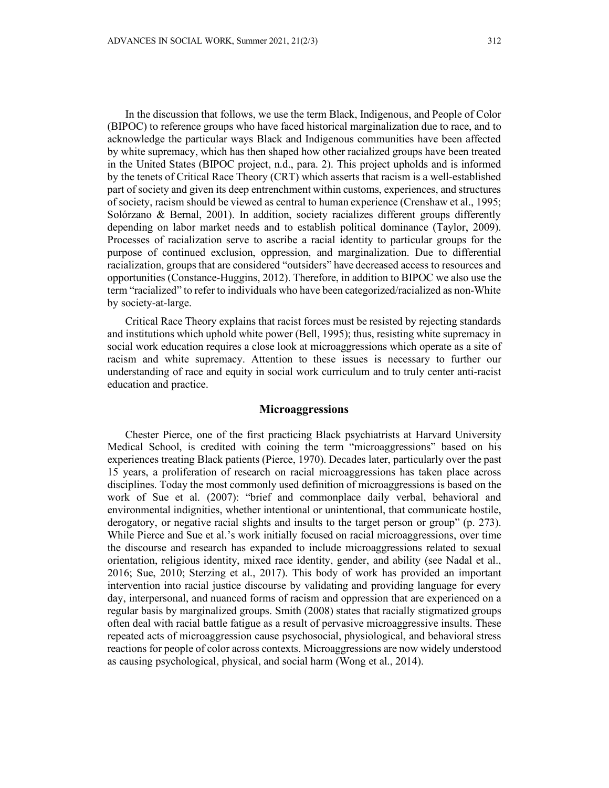In the discussion that follows, we use the term Black, Indigenous, and People of Color (BIPOC) to reference groups who have faced historical marginalization due to race, and to acknowledge the particular ways Black and Indigenous communities have been affected by white supremacy, which has then shaped how other racialized groups have been treated in the United States (BIPOC project, n.d., para. 2). This project upholds and is informed by the tenets of Critical Race Theory (CRT) which asserts that racism is a well-established part of society and given its deep entrenchment within customs, experiences, and structures of society, racism should be viewed as central to human experience (Crenshaw et al., 1995; Solórzano & Bernal, 2001). In addition, society racializes different groups differently depending on labor market needs and to establish political dominance (Taylor, 2009). Processes of racialization serve to ascribe a racial identity to particular groups for the purpose of continued exclusion, oppression, and marginalization. Due to differential racialization, groups that are considered "outsiders" have decreased access to resources and opportunities (Constance-Huggins, 2012). Therefore, in addition to BIPOC we also use the term "racialized" to refer to individuals who have been categorized/racialized as non-White by society-at-large.

Critical Race Theory explains that racist forces must be resisted by rejecting standards and institutions which uphold white power (Bell, 1995); thus, resisting white supremacy in social work education requires a close look at microaggressions which operate as a site of racism and white supremacy. Attention to these issues is necessary to further our understanding of race and equity in social work curriculum and to truly center anti-racist education and practice.

## **Microaggressions**

Chester Pierce, one of the first practicing Black psychiatrists at Harvard University Medical School, is credited with coining the term "microaggressions" based on his experiences treating Black patients (Pierce, 1970). Decades later, particularly over the past 15 years, a proliferation of research on racial microaggressions has taken place across disciplines. Today the most commonly used definition of microaggressions is based on the work of Sue et al. (2007): "brief and commonplace daily verbal, behavioral and environmental indignities, whether intentional or unintentional, that communicate hostile, derogatory, or negative racial slights and insults to the target person or group" (p. 273). While Pierce and Sue et al.'s work initially focused on racial microaggressions, over time the discourse and research has expanded to include microaggressions related to sexual orientation, religious identity, mixed race identity, gender, and ability (see Nadal et al., 2016; Sue, 2010; Sterzing et al., 2017). This body of work has provided an important intervention into racial justice discourse by validating and providing language for every day, interpersonal, and nuanced forms of racism and oppression that are experienced on a regular basis by marginalized groups. Smith (2008) states that racially stigmatized groups often deal with racial battle fatigue as a result of pervasive microaggressive insults. These repeated acts of microaggression cause psychosocial, physiological, and behavioral stress reactions for people of color across contexts. Microaggressions are now widely understood as causing psychological, physical, and social harm (Wong et al., 2014).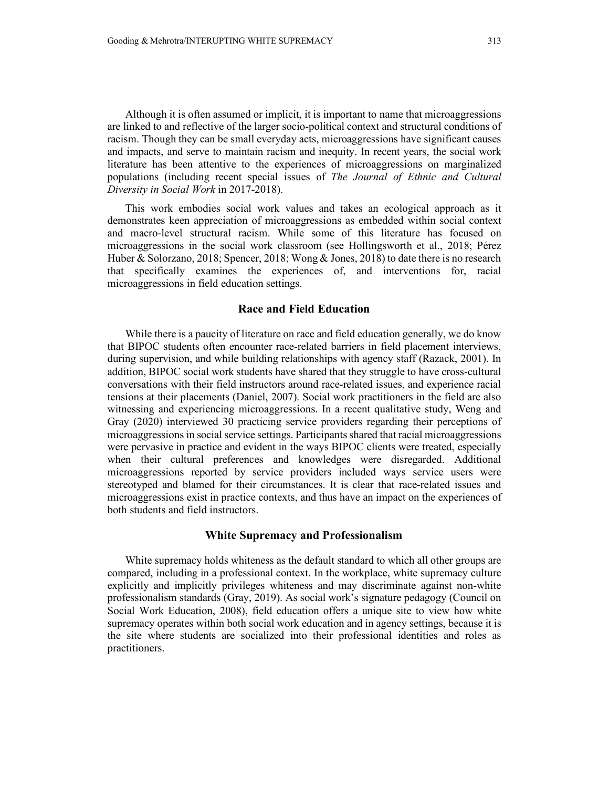Although it is often assumed or implicit, it is important to name that microaggressions are linked to and reflective of the larger socio-political context and structural conditions of racism. Though they can be small everyday acts, microaggressions have significant causes and impacts, and serve to maintain racism and inequity. In recent years, the social work literature has been attentive to the experiences of microaggressions on marginalized populations (including recent special issues of *The Journal of Ethnic and Cultural Diversity in Social Work* in 2017-2018).

This work embodies social work values and takes an ecological approach as it demonstrates keen appreciation of microaggressions as embedded within social context and macro-level structural racism. While some of this literature has focused on microaggressions in the social work classroom (see Hollingsworth et al., 2018; Pérez Huber & Solorzano, 2018; Spencer, 2018; Wong & Jones, 2018) to date there is no research that specifically examines the experiences of, and interventions for, racial microaggressions in field education settings.

## **Race and Field Education**

While there is a paucity of literature on race and field education generally, we do know that BIPOC students often encounter race-related barriers in field placement interviews, during supervision, and while building relationships with agency staff (Razack, 2001). In addition, BIPOC social work students have shared that they struggle to have cross-cultural conversations with their field instructors around race-related issues, and experience racial tensions at their placements (Daniel, 2007). Social work practitioners in the field are also witnessing and experiencing microaggressions. In a recent qualitative study, Weng and Gray (2020) interviewed 30 practicing service providers regarding their perceptions of microaggressions in social service settings. Participants shared that racial microaggressions were pervasive in practice and evident in the ways BIPOC clients were treated, especially when their cultural preferences and knowledges were disregarded. Additional microaggressions reported by service providers included ways service users were stereotyped and blamed for their circumstances. It is clear that race-related issues and microaggressions exist in practice contexts, and thus have an impact on the experiences of both students and field instructors.

## **White Supremacy and Professionalism**

White supremacy holds whiteness as the default standard to which all other groups are compared, including in a professional context. In the workplace, white supremacy culture explicitly and implicitly privileges whiteness and may discriminate against non-white professionalism standards (Gray, 2019). As social work's signature pedagogy (Council on Social Work Education, 2008), field education offers a unique site to view how white supremacy operates within both social work education and in agency settings, because it is the site where students are socialized into their professional identities and roles as practitioners.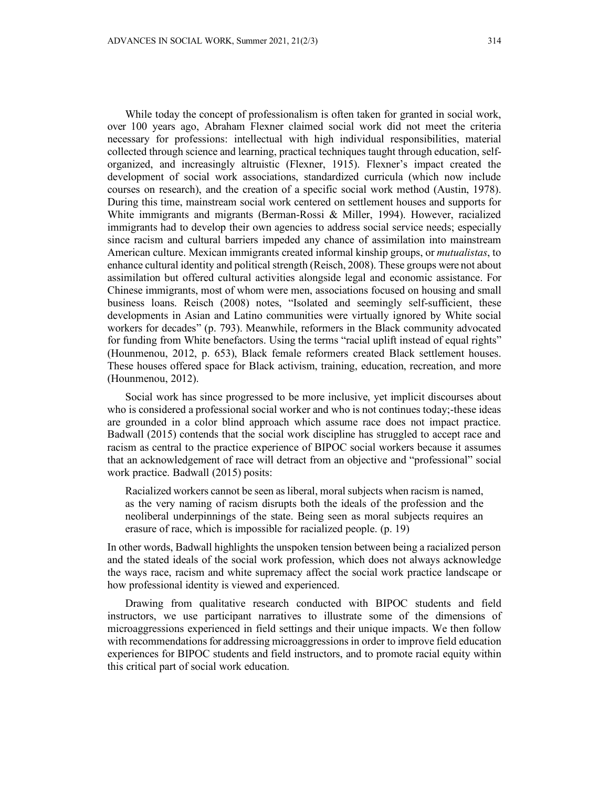While today the concept of professionalism is often taken for granted in social work, over 100 years ago, Abraham Flexner claimed social work did not meet the criteria necessary for professions: intellectual with high individual responsibilities, material collected through science and learning, practical techniques taught through education, selforganized, and increasingly altruistic (Flexner, 1915). Flexner's impact created the development of social work associations, standardized curricula (which now include courses on research), and the creation of a specific social work method (Austin, 1978). During this time, mainstream social work centered on settlement houses and supports for White immigrants and migrants (Berman-Rossi & Miller, 1994). However, racialized immigrants had to develop their own agencies to address social service needs; especially since racism and cultural barriers impeded any chance of assimilation into mainstream American culture. Mexican immigrants created informal kinship groups, or *mutualistas*, to enhance cultural identity and political strength (Reisch, 2008). These groups were not about assimilation but offered cultural activities alongside legal and economic assistance. For Chinese immigrants, most of whom were men, associations focused on housing and small business loans. Reisch (2008) notes, "Isolated and seemingly self-sufficient, these developments in Asian and Latino communities were virtually ignored by White social workers for decades" (p. 793). Meanwhile, reformers in the Black community advocated for funding from White benefactors. Using the terms "racial uplift instead of equal rights" (Hounmenou, 2012, p. 653), Black female reformers created Black settlement houses. These houses offered space for Black activism, training, education, recreation, and more (Hounmenou, 2012).

Social work has since progressed to be more inclusive, yet implicit discourses about who is considered a professional social worker and who is not continues today;-these ideas are grounded in a color blind approach which assume race does not impact practice. Badwall (2015) contends that the social work discipline has struggled to accept race and racism as central to the practice experience of BIPOC social workers because it assumes that an acknowledgement of race will detract from an objective and "professional" social work practice. Badwall (2015) posits:

Racialized workers cannot be seen as liberal, moral subjects when racism is named, as the very naming of racism disrupts both the ideals of the profession and the neoliberal underpinnings of the state. Being seen as moral subjects requires an erasure of race, which is impossible for racialized people. (p. 19)

In other words, Badwall highlights the unspoken tension between being a racialized person and the stated ideals of the social work profession, which does not always acknowledge the ways race, racism and white supremacy affect the social work practice landscape or how professional identity is viewed and experienced.

Drawing from qualitative research conducted with BIPOC students and field instructors, we use participant narratives to illustrate some of the dimensions of microaggressions experienced in field settings and their unique impacts. We then follow with recommendations for addressing microaggressions in order to improve field education experiences for BIPOC students and field instructors, and to promote racial equity within this critical part of social work education.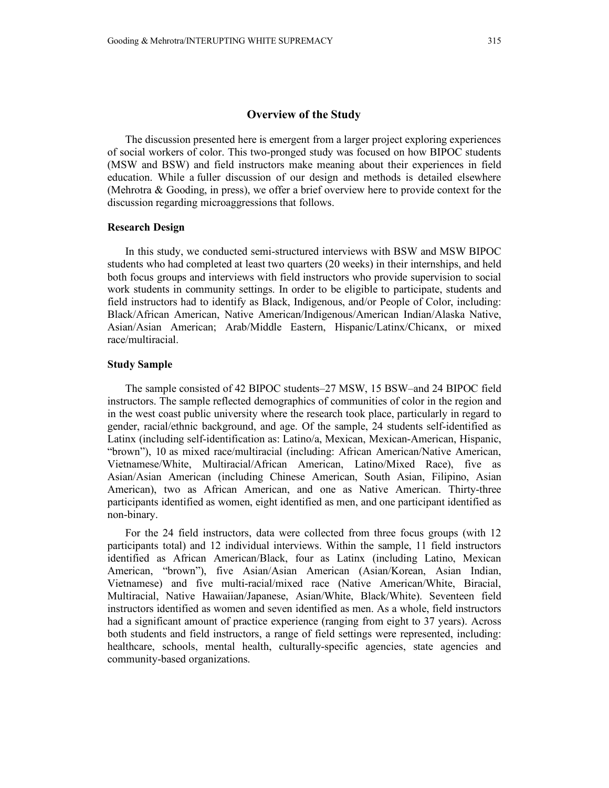#### **Overview of the Study**

The discussion presented here is emergent from a larger project exploring experiences of social workers of color. This two-pronged study was focused on how BIPOC students (MSW and BSW) and field instructors make meaning about their experiences in field education. While a fuller discussion of our design and methods is detailed elsewhere (Mehrotra & Gooding, in press), we offer a brief overview here to provide context for the discussion regarding microaggressions that follows.

#### **Research Design**

In this study, we conducted semi-structured interviews with BSW and MSW BIPOC students who had completed at least two quarters (20 weeks) in their internships, and held both focus groups and interviews with field instructors who provide supervision to social work students in community settings. In order to be eligible to participate, students and field instructors had to identify as Black, Indigenous, and/or People of Color, including: Black/African American, Native American/Indigenous/American Indian/Alaska Native, Asian/Asian American; Arab/Middle Eastern, Hispanic/Latinx/Chicanx, or mixed race/multiracial.

#### **Study Sample**

The sample consisted of 42 BIPOC students–27 MSW, 15 BSW–and 24 BIPOC field instructors. The sample reflected demographics of communities of color in the region and in the west coast public university where the research took place, particularly in regard to gender, racial/ethnic background, and age. Of the sample, 24 students self-identified as Latinx (including self-identification as: Latino/a, Mexican, Mexican-American, Hispanic, "brown"), 10 as mixed race/multiracial (including: African American/Native American, Vietnamese/White, Multiracial/African American, Latino/Mixed Race), five as Asian/Asian American (including Chinese American, South Asian, Filipino, Asian American), two as African American, and one as Native American. Thirty-three participants identified as women, eight identified as men, and one participant identified as non-binary.

For the 24 field instructors, data were collected from three focus groups (with 12 participants total) and 12 individual interviews. Within the sample, 11 field instructors identified as African American/Black, four as Latinx (including Latino, Mexican American, "brown"), five Asian/Asian American (Asian/Korean, Asian Indian, Vietnamese) and five multi-racial/mixed race (Native American/White, Biracial, Multiracial, Native Hawaiian/Japanese, Asian/White, Black/White). Seventeen field instructors identified as women and seven identified as men. As a whole, field instructors had a significant amount of practice experience (ranging from eight to 37 years). Across both students and field instructors, a range of field settings were represented, including: healthcare, schools, mental health, culturally-specific agencies, state agencies and community-based organizations.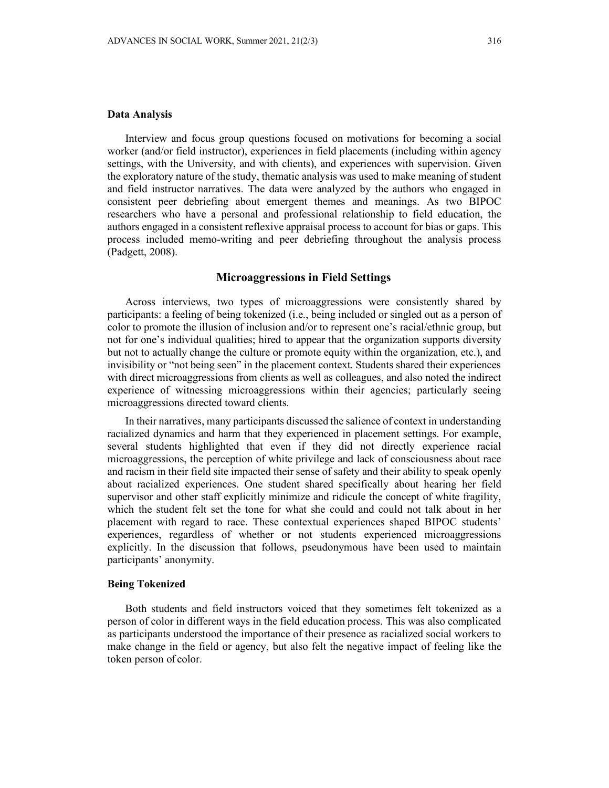#### **Data Analysis**

Interview and focus group questions focused on motivations for becoming a social worker (and/or field instructor), experiences in field placements (including within agency settings, with the University, and with clients), and experiences with supervision. Given the exploratory nature of the study, thematic analysis was used to make meaning of student and field instructor narratives. The data were analyzed by the authors who engaged in consistent peer debriefing about emergent themes and meanings. As two BIPOC researchers who have a personal and professional relationship to field education, the authors engaged in a consistent reflexive appraisal process to account for bias or gaps. This process included memo-writing and peer debriefing throughout the analysis process (Padgett, 2008).

#### **Microaggressions in Field Settings**

Across interviews, two types of microaggressions were consistently shared by participants: a feeling of being tokenized (i.e., being included or singled out as a person of color to promote the illusion of inclusion and/or to represent one's racial/ethnic group, but not for one's individual qualities; hired to appear that the organization supports diversity but not to actually change the culture or promote equity within the organization, etc.), and invisibility or "not being seen" in the placement context. Students shared their experiences with direct microaggressions from clients as well as colleagues, and also noted the indirect experience of witnessing microaggressions within their agencies; particularly seeing microaggressions directed toward clients.

In their narratives, many participants discussed the salience of context in understanding racialized dynamics and harm that they experienced in placement settings. For example, several students highlighted that even if they did not directly experience racial microaggressions, the perception of white privilege and lack of consciousness about race and racism in their field site impacted their sense of safety and their ability to speak openly about racialized experiences. One student shared specifically about hearing her field supervisor and other staff explicitly minimize and ridicule the concept of white fragility, which the student felt set the tone for what she could and could not talk about in her placement with regard to race. These contextual experiences shaped BIPOC students' experiences, regardless of whether or not students experienced microaggressions explicitly. In the discussion that follows, pseudonymous have been used to maintain participants' anonymity.

#### **Being Tokenized**

Both students and field instructors voiced that they sometimes felt tokenized as a person of color in different ways in the field education process. This was also complicated as participants understood the importance of their presence as racialized social workers to make change in the field or agency, but also felt the negative impact of feeling like the token person of color.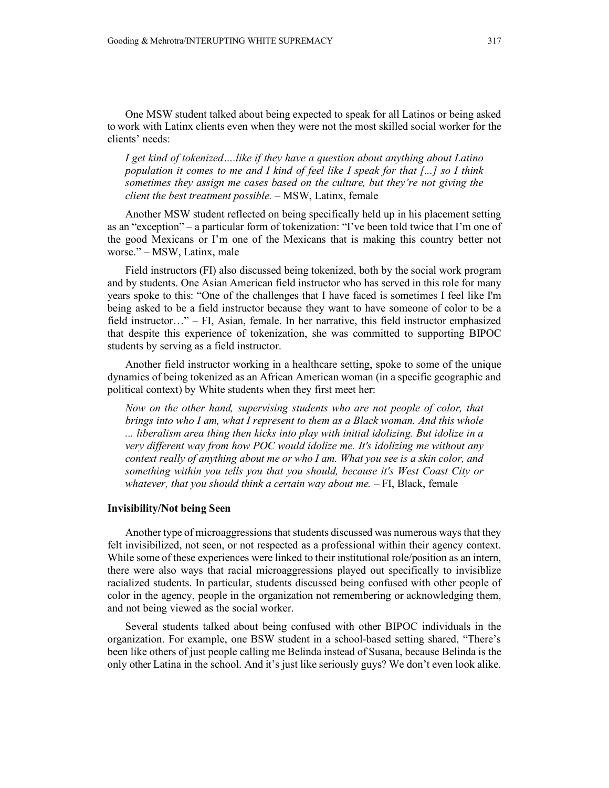One MSW student talked about being expected to speak for all Latinos or being asked to work with Latinx clients even when they were not the most skilled social worker for the clients' needs:

*I get kind of tokenized….like if they have a question about anything about Latino population it comes to me and I kind of feel like I speak for that [...] so I think sometimes they assign me cases based on the culture, but they're not giving the client the best treatment possible.* – MSW, Latinx, female

Another MSW student reflected on being specifically held up in his placement setting as an "exception" – a particular form of tokenization: "I've been told twice that I'm one of the good Mexicans or I'm one of the Mexicans that is making this country better not worse." – MSW, Latinx, male

Field instructors (FI) also discussed being tokenized, both by the social work program and by students. One Asian American field instructor who has served in this role for many years spoke to this: "One of the challenges that I have faced is sometimes I feel like I'm being asked to be a field instructor because they want to have someone of color to be a field instructor…" – FI, Asian, female. In her narrative, this field instructor emphasized that despite this experience of tokenization, she was committed to supporting BIPOC students by serving as a field instructor.

Another field instructor working in a healthcare setting, spoke to some of the unique dynamics of being tokenized as an African American woman (in a specific geographic and political context) by White students when they first meet her:

*Now on the other hand, supervising students who are not people of color, that brings into who I am, what I represent to them as a Black woman. And this whole ... liberalism area thing then kicks into play with initial idolizing. But idolize in a very different way from how POC would idolize me. It's idolizing me without any context really of anything about me or who I am. What you see is a skin color, and something within you tells you that you should, because it's West Coast City or*  whatever, that you should think a certain way about me. - FI, Black, female

#### **Invisibility/Not being Seen**

Another type of microaggressions that students discussed was numerous ways that they felt invisibilized, not seen, or not respected as a professional within their agency context. While some of these experiences were linked to their institutional role/position as an intern, there were also ways that racial microaggressions played out specifically to invisiblize racialized students. In particular, students discussed being confused with other people of color in the agency, people in the organization not remembering or acknowledging them, and not being viewed as the social worker.

Several students talked about being confused with other BIPOC individuals in the organization. For example, one BSW student in a school-based setting shared, "There's been like others of just people calling me Belinda instead of Susana, because Belinda is the only other Latina in the school. And it's just like seriously guys? We don't even look alike.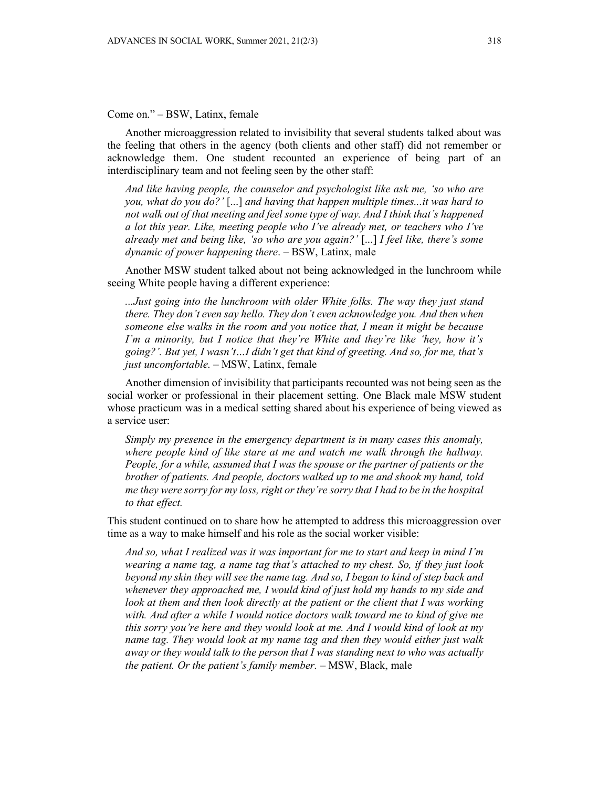Come on." – BSW, Latinx, female

Another microaggression related to invisibility that several students talked about was the feeling that others in the agency (both clients and other staff) did not remember or acknowledge them. One student recounted an experience of being part of an interdisciplinary team and not feeling seen by the other staff:

*And like having people, the counselor and psychologist like ask me, 'so who are you, what do you do?'* [...] *and having that happen multiple times...it was hard to not walk out of that meeting and feel some type of way. And I think that's happened a lot this year. Like, meeting people who I've already met, or teachers who I've already met and being like, 'so who are you again?'* [...] *I feel like, there's some dynamic of power happening there*. – BSW, Latinx, male

Another MSW student talked about not being acknowledged in the lunchroom while seeing White people having a different experience:

*...Just going into the lunchroom with older White folks. The way they just stand there. They don't even say hello. They don't even acknowledge you. And then when someone else walks in the room and you notice that, I mean it might be because I'm a minority, but I notice that they're White and they're like 'hey, how it's going?'. But yet, I wasn't…I didn't get that kind of greeting. And so, for me, that's just uncomfortable*. – MSW, Latinx, female

Another dimension of invisibility that participants recounted was not being seen as the social worker or professional in their placement setting. One Black male MSW student whose practicum was in a medical setting shared about his experience of being viewed as a service user:

*Simply my presence in the emergency department is in many cases this anomaly, where people kind of like stare at me and watch me walk through the hallway. People, for a while, assumed that I was the spouse or the partner of patients or the brother of patients. And people, doctors walked up to me and shook my hand, told me they were sorry for my loss, right or they're sorry that I had to be in the hospital to that effect.*

This student continued on to share how he attempted to address this microaggression over time as a way to make himself and his role as the social worker visible:

*And so, what I realized was it was important for me to start and keep in mind I'm wearing a name tag, a name tag that's attached to my chest. So, if they just look beyond my skin they will see the name tag. And so, I began to kind of step back and whenever they approached me, I would kind of just hold my hands to my side and look at them and then look directly at the patient or the client that I was working with. And after a while I would notice doctors walk toward me to kind of give me this sorry you're here and they would look at me. And I would kind of look at my name tag. They would look at my name tag and then they would either just walk away or they would talk to the person that I was standing next to who was actually the patient. Or the patient's family member.* – MSW, Black, male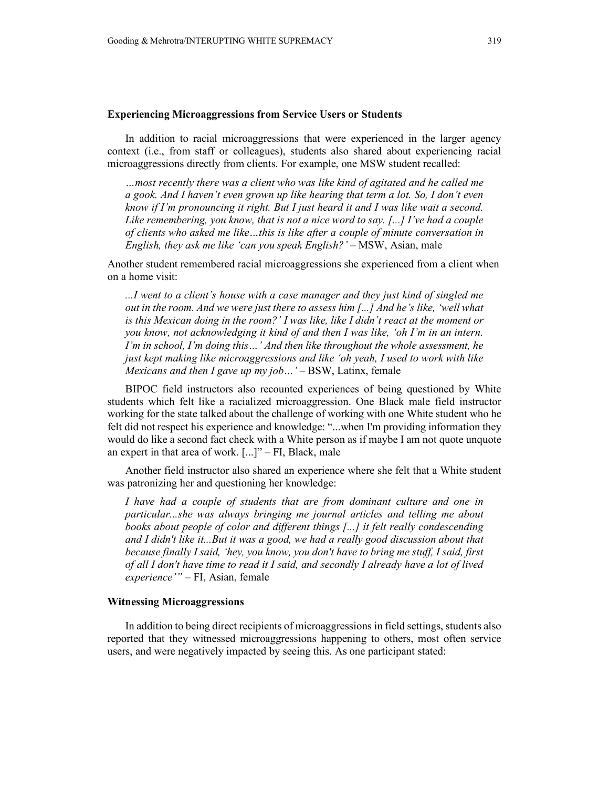#### **Experiencing Microaggressions from Service Users or Students**

In addition to racial microaggressions that were experienced in the larger agency context (i.e., from staff or colleagues), students also shared about experiencing racial microaggressions directly from clients. For example, one MSW student recalled:

*…most recently there was a client who was like kind of agitated and he called me a gook. And I haven't even grown up like hearing that term a lot. So, I don't even know if I'm pronouncing it right. But I just heard it and I was like wait a second. Like remembering, you know, that is not a nice word to say. [...] I've had a couple of clients who asked me like…this is like after a couple of minute conversation in English, they ask me like 'can you speak English?'* – MSW, Asian, male

Another student remembered racial microaggressions she experienced from a client when on a home visit:

*...I went to a client's house with a case manager and they just kind of singled me out in the room. And we were just there to assess him [...] And he's like, 'well what is this Mexican doing in the room?' I was like, like I didn't react at the moment or you know, not acknowledging it kind of and then I was like, 'oh I'm in an intern. I'm in school, I'm doing this…' And then like throughout the whole assessment, he just kept making like microaggressions and like 'oh yeah, I used to work with like Mexicans and then I gave up my job…'* – BSW, Latinx, female

BIPOC field instructors also recounted experiences of being questioned by White students which felt like a racialized microaggression. One Black male field instructor working for the state talked about the challenge of working with one White student who he felt did not respect his experience and knowledge: "...when I'm providing information they would do like a second fact check with a White person as if maybe I am not quote unquote an expert in that area of work. [...]" – FI, Black, male

Another field instructor also shared an experience where she felt that a White student was patronizing her and questioning her knowledge:

*I have had a couple of students that are from dominant culture and one in particular...she was always bringing me journal articles and telling me about books about people of color and different things [...] it felt really condescending and I didn't like it...But it was a good, we had a really good discussion about that because finally I said, 'hey, you know, you don't have to bring me stuff, I said, first of all I don't have time to read it I said, and secondly I already have a lot of lived experience'"* – FI, Asian, female

#### **Witnessing Microaggressions**

In addition to being direct recipients of microaggressions in field settings, students also reported that they witnessed microaggressions happening to others, most often service users, and were negatively impacted by seeing this. As one participant stated: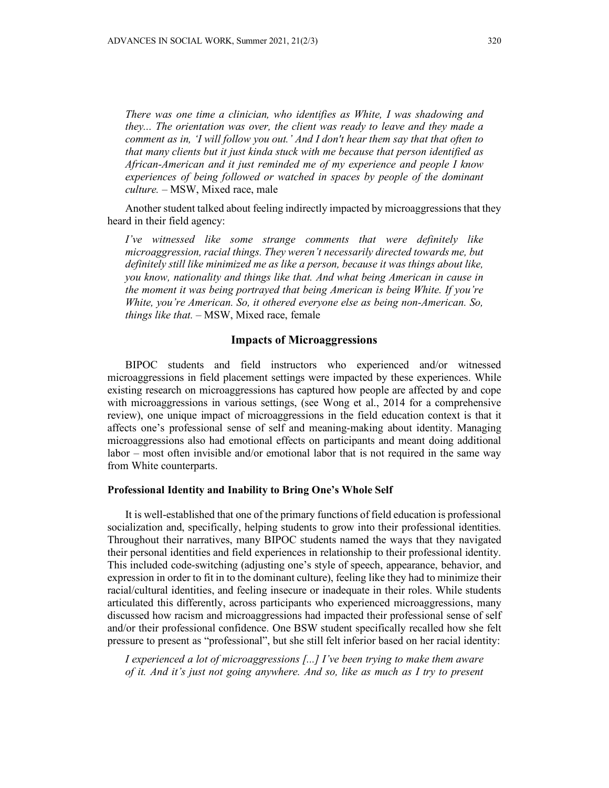*There was one time a clinician, who identifies as White, I was shadowing and they... The orientation was over, the client was ready to leave and they made a comment as in, 'I will follow you out.' And I don't hear them say that that often to that many clients but it just kinda stuck with me because that person identified as African-American and it just reminded me of my experience and people I know experiences of being followed or watched in spaces by people of the dominant culture.* – MSW, Mixed race, male

Another student talked about feeling indirectly impacted by microaggressions that they heard in their field agency:

*I've witnessed like some strange comments that were definitely like microaggression, racial things. They weren't necessarily directed towards me, but definitely still like minimized me as like a person, because it was things about like, you know, nationality and things like that. And what being American in cause in the moment it was being portrayed that being American is being White. If you're White, you're American. So, it othered everyone else as being non-American. So, things like that.* – MSW, Mixed race, female

#### **Impacts of Microaggressions**

BIPOC students and field instructors who experienced and/or witnessed microaggressions in field placement settings were impacted by these experiences. While existing research on microaggressions has captured how people are affected by and cope with microaggressions in various settings, (see Wong et al., 2014 for a comprehensive review), one unique impact of microaggressions in the field education context is that it affects one's professional sense of self and meaning-making about identity. Managing microaggressions also had emotional effects on participants and meant doing additional labor – most often invisible and/or emotional labor that is not required in the same way from White counterparts.

#### **Professional Identity and Inability to Bring One's Whole Self**

It is well-established that one of the primary functions of field education is professional socialization and, specifically, helping students to grow into their professional identities. Throughout their narratives, many BIPOC students named the ways that they navigated their personal identities and field experiences in relationship to their professional identity. This included code-switching (adjusting one's style of speech, appearance, behavior, and expression in order to fit in to the dominant culture), feeling like they had to minimize their racial/cultural identities, and feeling insecure or inadequate in their roles. While students articulated this differently, across participants who experienced microaggressions, many discussed how racism and microaggressions had impacted their professional sense of self and/or their professional confidence. One BSW student specifically recalled how she felt pressure to present as "professional", but she still felt inferior based on her racial identity:

*I experienced a lot of microaggressions [...] I've been trying to make them aware of it. And it's just not going anywhere. And so, like as much as I try to present*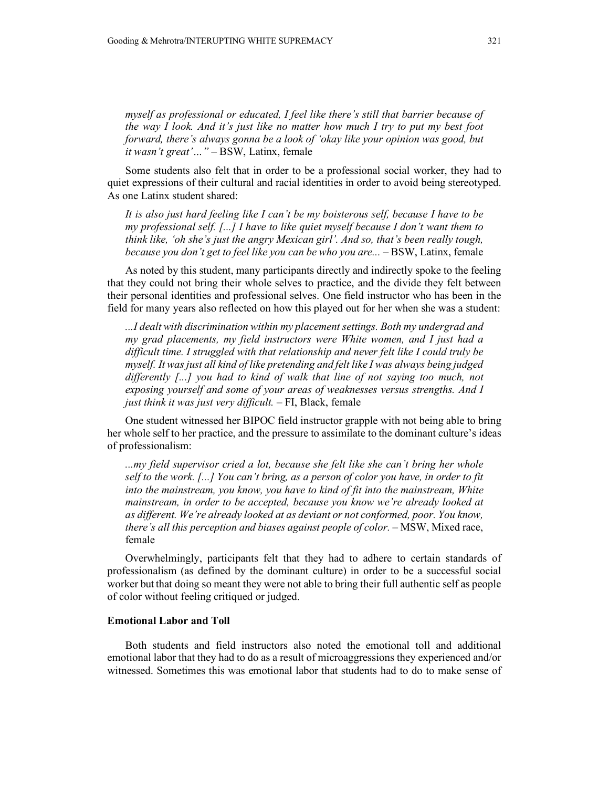*myself as professional or educated, I feel like there's still that barrier because of the way I look. And it's just like no matter how much I try to put my best foot forward, there's always gonna be a look of 'okay like your opinion was good, but it wasn't great'…"* – BSW, Latinx, female

Some students also felt that in order to be a professional social worker, they had to quiet expressions of their cultural and racial identities in order to avoid being stereotyped. As one Latinx student shared:

*It is also just hard feeling like I can't be my boisterous self, because I have to be my professional self. [...] I have to like quiet myself because I don't want them to think like, 'oh she's just the angry Mexican girl'. And so, that's been really tough, because you don't get to feel like you can be who you are...* – BSW, Latinx, female

As noted by this student, many participants directly and indirectly spoke to the feeling that they could not bring their whole selves to practice, and the divide they felt between their personal identities and professional selves. One field instructor who has been in the field for many years also reflected on how this played out for her when she was a student:

*...I dealt with discrimination within my placement settings. Both my undergrad and my grad placements, my field instructors were White women, and I just had a difficult time. I struggled with that relationship and never felt like I could truly be myself. It was just all kind of like pretending and felt like I was always being judged differently [...] you had to kind of walk that line of not saying too much, not exposing yourself and some of your areas of weaknesses versus strengths. And I just think it was just very difficult.* – FI, Black, female

One student witnessed her BIPOC field instructor grapple with not being able to bring her whole self to her practice, and the pressure to assimilate to the dominant culture's ideas of professionalism:

*...my field supervisor cried a lot, because she felt like she can't bring her whole self to the work. [...] You can't bring, as a person of color you have, in order to fit into the mainstream, you know, you have to kind of fit into the mainstream, White mainstream, in order to be accepted, because you know we're already looked at as different. We're already looked at as deviant or not conformed, poor. You know, there's all this perception and biases against people of color.* – MSW, Mixed race, female

Overwhelmingly, participants felt that they had to adhere to certain standards of professionalism (as defined by the dominant culture) in order to be a successful social worker but that doing so meant they were not able to bring their full authentic self as people of color without feeling critiqued or judged.

#### **Emotional Labor and Toll**

Both students and field instructors also noted the emotional toll and additional emotional labor that they had to do as a result of microaggressions they experienced and/or witnessed. Sometimes this was emotional labor that students had to do to make sense of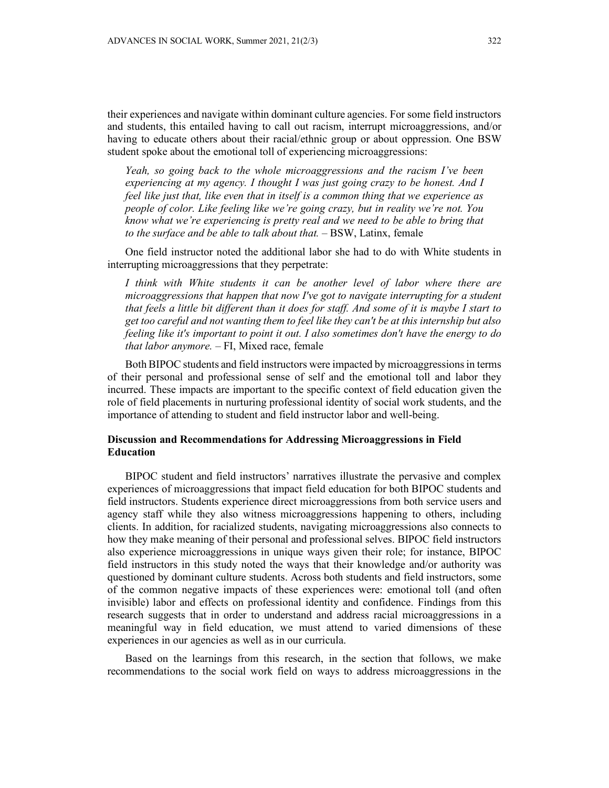their experiences and navigate within dominant culture agencies. For some field instructors and students, this entailed having to call out racism, interrupt microaggressions, and/or having to educate others about their racial/ethnic group or about oppression. One BSW student spoke about the emotional toll of experiencing microaggressions:

*Yeah, so going back to the whole microaggressions and the racism I've been experiencing at my agency. I thought I was just going crazy to be honest. And I feel like just that, like even that in itself is a common thing that we experience as people of color. Like feeling like we're going crazy, but in reality we're not. You know what we're experiencing is pretty real and we need to be able to bring that to the surface and be able to talk about that.* – BSW, Latinx, female

One field instructor noted the additional labor she had to do with White students in interrupting microaggressions that they perpetrate:

*I think with White students it can be another level of labor where there are microaggressions that happen that now I've got to navigate interrupting for a student that feels a little bit different than it does for staff. And some of it is maybe I start to get too careful and not wanting them to feel like they can't be at this internship but also feeling like it's important to point it out. I also sometimes don't have the energy to do that labor anymore.* – FI, Mixed race, female

Both BIPOC students and field instructors were impacted by microaggressions in terms of their personal and professional sense of self and the emotional toll and labor they incurred. These impacts are important to the specific context of field education given the role of field placements in nurturing professional identity of social work students, and the importance of attending to student and field instructor labor and well-being.

## **Discussion and Recommendations for Addressing Microaggressions in Field Education**

BIPOC student and field instructors' narratives illustrate the pervasive and complex experiences of microaggressions that impact field education for both BIPOC students and field instructors. Students experience direct microaggressions from both service users and agency staff while they also witness microaggressions happening to others, including clients. In addition, for racialized students, navigating microaggressions also connects to how they make meaning of their personal and professional selves. BIPOC field instructors also experience microaggressions in unique ways given their role; for instance, BIPOC field instructors in this study noted the ways that their knowledge and/or authority was questioned by dominant culture students. Across both students and field instructors, some of the common negative impacts of these experiences were: emotional toll (and often invisible) labor and effects on professional identity and confidence. Findings from this research suggests that in order to understand and address racial microaggressions in a meaningful way in field education, we must attend to varied dimensions of these experiences in our agencies as well as in our curricula.

Based on the learnings from this research, in the section that follows, we make recommendations to the social work field on ways to address microaggressions in the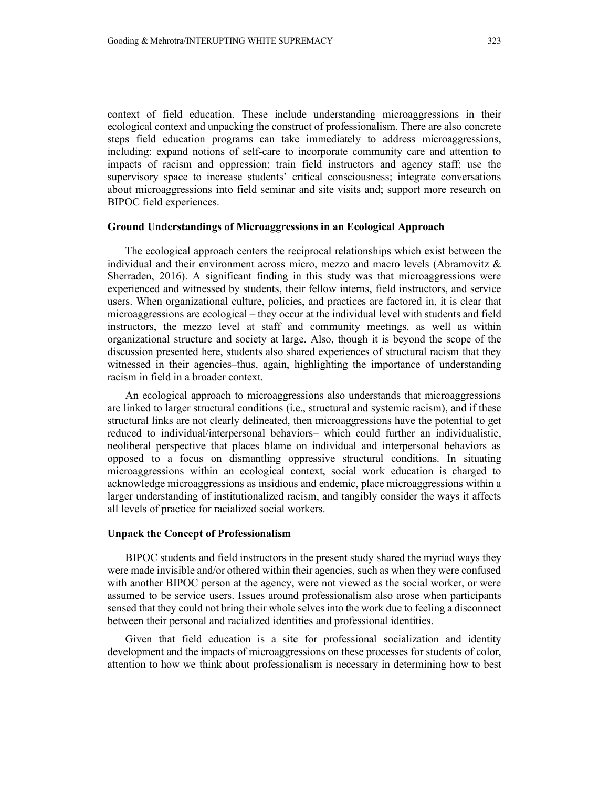context of field education. These include understanding microaggressions in their ecological context and unpacking the construct of professionalism. There are also concrete steps field education programs can take immediately to address microaggressions, including: expand notions of self-care to incorporate community care and attention to impacts of racism and oppression; train field instructors and agency staff; use the supervisory space to increase students' critical consciousness; integrate conversations about microaggressions into field seminar and site visits and; support more research on BIPOC field experiences.

#### **Ground Understandings of Microaggressions in an Ecological Approach**

The ecological approach centers the reciprocal relationships which exist between the individual and their environment across micro, mezzo and macro levels (Abramovitz & Sherraden, 2016). A significant finding in this study was that microaggressions were experienced and witnessed by students, their fellow interns, field instructors, and service users. When organizational culture, policies, and practices are factored in, it is clear that microaggressions are ecological – they occur at the individual level with students and field instructors, the mezzo level at staff and community meetings, as well as within organizational structure and society at large. Also, though it is beyond the scope of the discussion presented here, students also shared experiences of structural racism that they witnessed in their agencies–thus, again, highlighting the importance of understanding racism in field in a broader context.

An ecological approach to microaggressions also understands that microaggressions are linked to larger structural conditions (i.e., structural and systemic racism), and if these structural links are not clearly delineated, then microaggressions have the potential to get reduced to individual/interpersonal behaviors– which could further an individualistic, neoliberal perspective that places blame on individual and interpersonal behaviors as opposed to a focus on dismantling oppressive structural conditions. In situating microaggressions within an ecological context, social work education is charged to acknowledge microaggressions as insidious and endemic, place microaggressions within a larger understanding of institutionalized racism, and tangibly consider the ways it affects all levels of practice for racialized social workers.

## **Unpack the Concept of Professionalism**

BIPOC students and field instructors in the present study shared the myriad ways they were made invisible and/or othered within their agencies, such as when they were confused with another BIPOC person at the agency, were not viewed as the social worker, or were assumed to be service users. Issues around professionalism also arose when participants sensed that they could not bring their whole selves into the work due to feeling a disconnect between their personal and racialized identities and professional identities.

Given that field education is a site for professional socialization and identity development and the impacts of microaggressions on these processes for students of color, attention to how we think about professionalism is necessary in determining how to best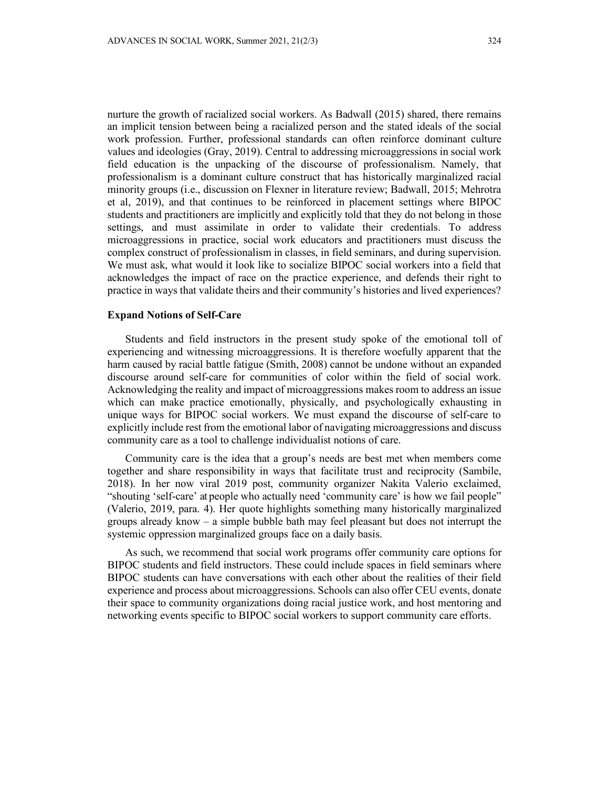nurture the growth of racialized social workers. As Badwall (2015) shared, there remains an implicit tension between being a racialized person and the stated ideals of the social work profession. Further, professional standards can often reinforce dominant culture values and ideologies (Gray, 2019). Central to addressing microaggressions in social work field education is the unpacking of the discourse of professionalism. Namely, that professionalism is a dominant culture construct that has historically marginalized racial minority groups (i.e., discussion on Flexner in literature review; Badwall, 2015; Mehrotra et al, 2019), and that continues to be reinforced in placement settings where BIPOC students and practitioners are implicitly and explicitly told that they do not belong in those settings, and must assimilate in order to validate their credentials. To address microaggressions in practice, social work educators and practitioners must discuss the complex construct of professionalism in classes, in field seminars, and during supervision. We must ask, what would it look like to socialize BIPOC social workers into a field that acknowledges the impact of race on the practice experience, and defends their right to practice in ways that validate theirs and their community's histories and lived experiences?

#### **Expand Notions of Self-Care**

Students and field instructors in the present study spoke of the emotional toll of experiencing and witnessing microaggressions. It is therefore woefully apparent that the harm caused by racial battle fatigue (Smith, 2008) cannot be undone without an expanded discourse around self-care for communities of color within the field of social work. Acknowledging the reality and impact of microaggressions makes room to address an issue which can make practice emotionally, physically, and psychologically exhausting in unique ways for BIPOC social workers. We must expand the discourse of self-care to explicitly include rest from the emotional labor of navigating microaggressions and discuss community care as a tool to challenge individualist notions of care.

Community care is the idea that a group's needs are best met when members come together and share responsibility in ways that facilitate trust and reciprocity (Sambile, 2018). In her now viral 2019 post, community organizer Nakita Valerio exclaimed, "shouting 'self-care' at people who actually need 'community care' is how we fail people" (Valerio, 2019, para. 4). Her quote highlights something many historically marginalized groups already know  $-$  a simple bubble bath may feel pleasant but does not interrupt the systemic oppression marginalized groups face on a daily basis.

As such, we recommend that social work programs offer community care options for BIPOC students and field instructors. These could include spaces in field seminars where BIPOC students can have conversations with each other about the realities of their field experience and process about microaggressions. Schools can also offer CEU events, donate their space to community organizations doing racial justice work, and host mentoring and networking events specific to BIPOC social workers to support community care efforts.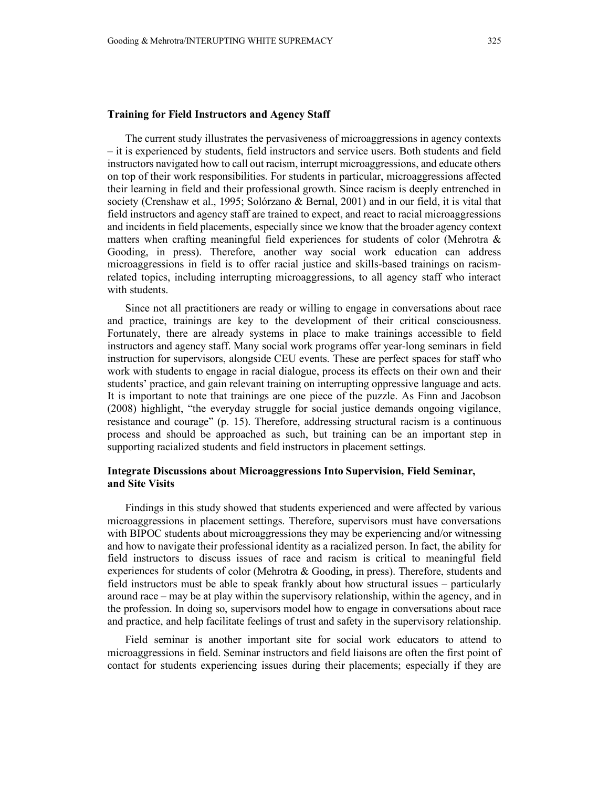#### **Training for Field Instructors and Agency Staff**

The current study illustrates the pervasiveness of microaggressions in agency contexts – it is experienced by students, field instructors and service users. Both students and field instructors navigated how to call out racism, interrupt microaggressions, and educate others on top of their work responsibilities. For students in particular, microaggressions affected their learning in field and their professional growth. Since racism is deeply entrenched in society (Crenshaw et al., 1995; Solórzano & Bernal, 2001) and in our field, it is vital that field instructors and agency staff are trained to expect, and react to racial microaggressions and incidents in field placements, especially since we know that the broader agency context matters when crafting meaningful field experiences for students of color (Mehrotra & Gooding, in press). Therefore, another way social work education can address microaggressions in field is to offer racial justice and skills-based trainings on racismrelated topics, including interrupting microaggressions, to all agency staff who interact with students.

Since not all practitioners are ready or willing to engage in conversations about race and practice, trainings are key to the development of their critical consciousness. Fortunately, there are already systems in place to make trainings accessible to field instructors and agency staff. Many social work programs offer year-long seminars in field instruction for supervisors, alongside CEU events. These are perfect spaces for staff who work with students to engage in racial dialogue, process its effects on their own and their students' practice, and gain relevant training on interrupting oppressive language and acts. It is important to note that trainings are one piece of the puzzle. As Finn and Jacobson (2008) highlight, "the everyday struggle for social justice demands ongoing vigilance, resistance and courage" (p. 15). Therefore, addressing structural racism is a continuous process and should be approached as such, but training can be an important step in supporting racialized students and field instructors in placement settings.

## **Integrate Discussions about Microaggressions Into Supervision, Field Seminar, and Site Visits**

Findings in this study showed that students experienced and were affected by various microaggressions in placement settings. Therefore, supervisors must have conversations with BIPOC students about microaggressions they may be experiencing and/or witnessing and how to navigate their professional identity as a racialized person. In fact, the ability for field instructors to discuss issues of race and racism is critical to meaningful field experiences for students of color (Mehrotra & Gooding, in press). Therefore, students and field instructors must be able to speak frankly about how structural issues – particularly around race – may be at play within the supervisory relationship, within the agency, and in the profession. In doing so, supervisors model how to engage in conversations about race and practice, and help facilitate feelings of trust and safety in the supervisory relationship.

Field seminar is another important site for social work educators to attend to microaggressions in field. Seminar instructors and field liaisons are often the first point of contact for students experiencing issues during their placements; especially if they are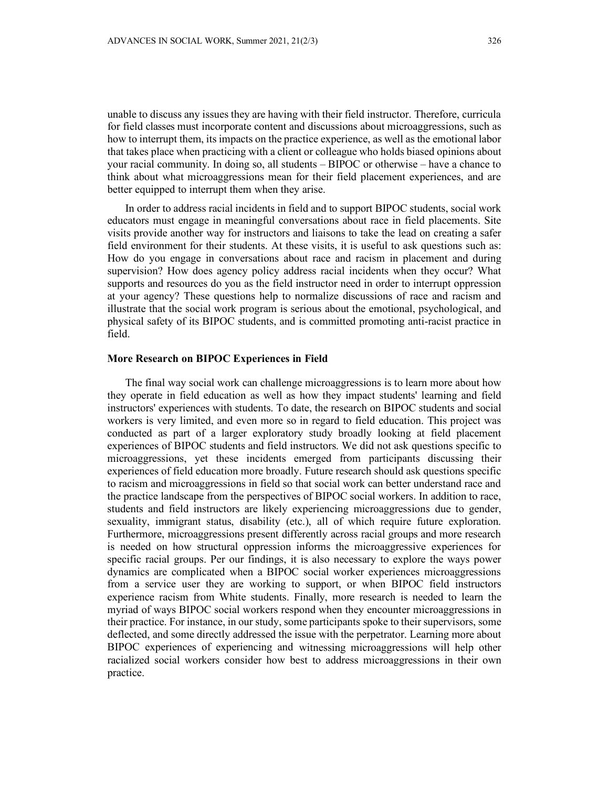unable to discuss any issues they are having with their field instructor. Therefore, curricula for field classes must incorporate content and discussions about microaggressions, such as how to interrupt them, its impacts on the practice experience, as well as the emotional labor that takes place when practicing with a client or colleague who holds biased opinions about your racial community. In doing so, all students – BIPOC or otherwise – have a chance to think about what microaggressions mean for their field placement experiences, and are better equipped to interrupt them when they arise.

In order to address racial incidents in field and to support BIPOC students, social work educators must engage in meaningful conversations about race in field placements. Site visits provide another way for instructors and liaisons to take the lead on creating a safer field environment for their students. At these visits, it is useful to ask questions such as: How do you engage in conversations about race and racism in placement and during supervision? How does agency policy address racial incidents when they occur? What supports and resources do you as the field instructor need in order to interrupt oppression at your agency? These questions help to normalize discussions of race and racism and illustrate that the social work program is serious about the emotional, psychological, and physical safety of its BIPOC students, and is committed promoting anti-racist practice in field.

#### **More Research on BIPOC Experiences in Field**

The final way social work can challenge microaggressions is to learn more about how they operate in field education as well as how they impact students' learning and field instructors' experiences with students. To date, the research on BIPOC students and social workers is very limited, and even more so in regard to field education. This project was conducted as part of a larger exploratory study broadly looking at field placement experiences of BIPOC students and field instructors. We did not ask questions specific to microaggressions, yet these incidents emerged from participants discussing their experiences of field education more broadly. Future research should ask questions specific to racism and microaggressions in field so that social work can better understand race and the practice landscape from the perspectives of BIPOC social workers. In addition to race, students and field instructors are likely experiencing microaggressions due to gender, sexuality, immigrant status, disability (etc.), all of which require future exploration. Furthermore, microaggressions present differently across racial groups and more research is needed on how structural oppression informs the microaggressive experiences for specific racial groups. Per our findings, it is also necessary to explore the ways power dynamics are complicated when a BIPOC social worker experiences microaggressions from a service user they are working to support, or when BIPOC field instructors experience racism from White students. Finally, more research is needed to learn the myriad of ways BIPOC social workers respond when they encounter microaggressions in their practice. For instance, in our study, some participants spoke to their supervisors, some deflected, and some directly addressed the issue with the perpetrator. Learning more about BIPOC experiences of experiencing and witnessing microaggressions will help other racialized social workers consider how best to address microaggressions in their own practice.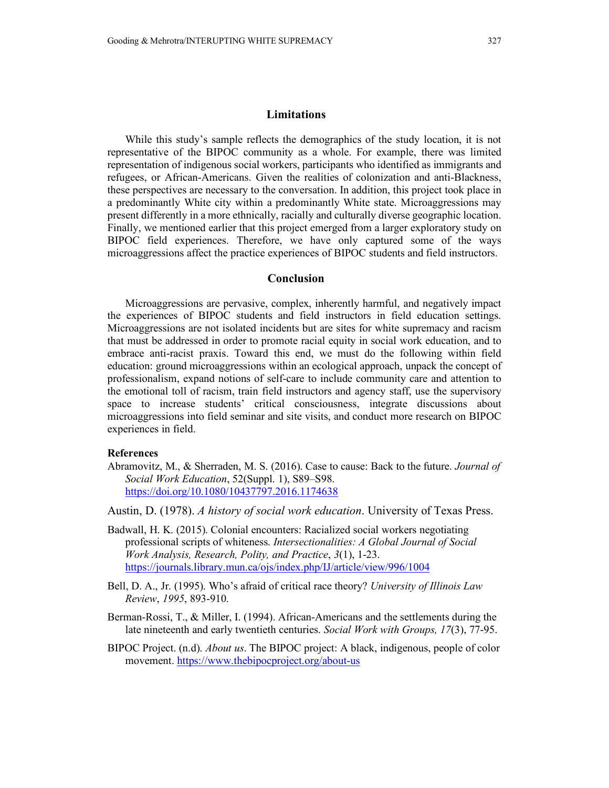## **Limitations**

While this study's sample reflects the demographics of the study location, it is not representative of the BIPOC community as a whole. For example, there was limited representation of indigenous social workers, participants who identified as immigrants and refugees, or African-Americans. Given the realities of colonization and anti-Blackness, these perspectives are necessary to the conversation. In addition, this project took place in a predominantly White city within a predominantly White state. Microaggressions may present differently in a more ethnically, racially and culturally diverse geographic location. Finally, we mentioned earlier that this project emerged from a larger exploratory study on BIPOC field experiences. Therefore, we have only captured some of the ways microaggressions affect the practice experiences of BIPOC students and field instructors.

## **Conclusion**

Microaggressions are pervasive, complex, inherently harmful, and negatively impact the experiences of BIPOC students and field instructors in field education settings. Microaggressions are not isolated incidents but are sites for white supremacy and racism that must be addressed in order to promote racial equity in social work education, and to embrace anti-racist praxis. Toward this end, we must do the following within field education: ground microaggressions within an ecological approach, unpack the concept of professionalism, expand notions of self-care to include community care and attention to the emotional toll of racism, train field instructors and agency staff, use the supervisory space to increase students' critical consciousness, integrate discussions about microaggressions into field seminar and site visits, and conduct more research on BIPOC experiences in field.

#### **References**

Abramovitz, M., & Sherraden, M. S. (2016). Case to cause: Back to the future. *Journal of Social Work Education*, 52(Suppl. 1), S89–S98. <https://doi.org/10.1080/10437797.2016.1174638>

Austin, D. (1978). *A history of social work education*. University of Texas Press.

- Badwall, H. K. (2015). Colonial encounters: Racialized social workers negotiating professional scripts of whiteness. *Intersectionalities: A Global Journal of Social Work Analysis, Research, Polity, and Practice*, *3*(1), 1-23. <https://journals.library.mun.ca/ojs/index.php/IJ/article/view/996/1004>
- Bell, D. A., Jr. (1995). Who's afraid of critical race theory? *University of Illinois Law Review*, *1995*, 893-910.
- Berman-Rossi, T., & Miller, I. (1994). African-Americans and the settlements during the late nineteenth and early twentieth centuries. *Social Work with Groups, 17*(3), 77-95.
- BIPOC Project. (n.d). *About us*. The BIPOC project: A black, indigenous, people of color movement.<https://www.thebipocproject.org/about-us>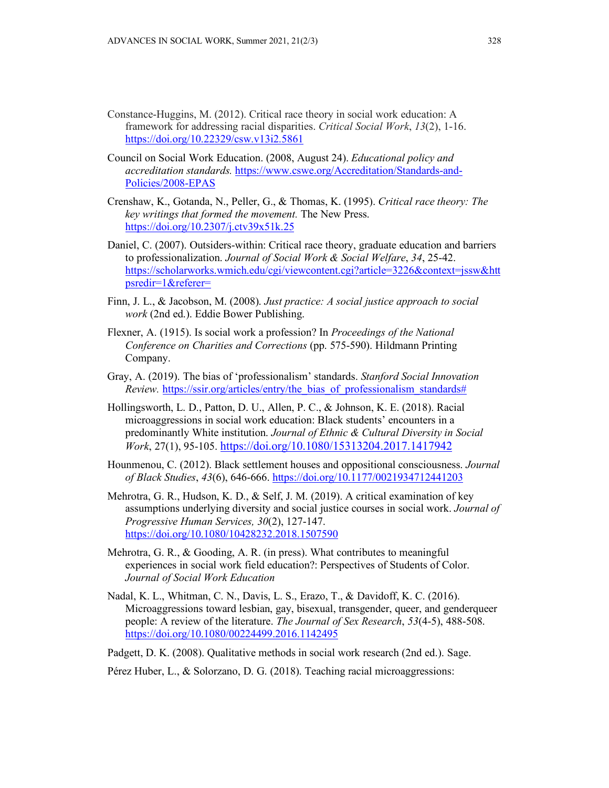- Constance-Huggins, M. (2012). Critical race theory in social work education: A framework for addressing racial disparities. *Critical Social Work*, *13*(2), 1-16. <https://doi.org/10.22329/csw.v13i2.5861>
- Council on Social Work Education. (2008, August 24). *Educational policy and accreditation standards.* [https://www.cswe.org/Accreditation/Standards-and-](https://www.cswe.org/Accreditation/Standards-and-Policies/2008-EPAS)[Policies/2008-EPAS](https://www.cswe.org/Accreditation/Standards-and-Policies/2008-EPAS)
- Crenshaw, K., Gotanda, N., Peller, G., & Thomas, K. (1995). *Critical race theory: The key writings that formed the movement.* The New Press. <https://doi.org/10.2307/j.ctv39x51k.25>
- Daniel, C. (2007). Outsiders-within: Critical race theory, graduate education and barriers to professionalization. *Journal of Social Work & Social Welfare*, *34*, 25-42. [https://scholarworks.wmich.edu/cgi/viewcontent.cgi?article=3226&context=jssw&htt](https://scholarworks.wmich.edu/cgi/viewcontent.cgi?article=3226&context=jssw&httpsredir=1&referer=) [psredir=1&referer=](https://scholarworks.wmich.edu/cgi/viewcontent.cgi?article=3226&context=jssw&httpsredir=1&referer=)
- Finn, J. L., & Jacobson, M. (2008). *Just practice: A social justice approach to social work* (2nd ed.). Eddie Bower Publishing.
- Flexner, A. (1915). Is social work a profession? In *Proceedings of the National Conference on Charities and Corrections* (pp. 575-590). Hildmann Printing Company.
- Gray, A. (2019). The bias of 'professionalism' standards. *Stanford Social Innovation Review.* [https://ssir.org/articles/entry/the\\_bias\\_of\\_professionalism\\_standards#](https://ssir.org/articles/entry/the_bias_of_professionalism_standards)
- Hollingsworth, L. D., Patton, D. U., Allen, P. C., & Johnson, K. E. (2018). Racial microaggressions in social work education: Black students' encounters in a predominantly White institution. *Journal of Ethnic & Cultural Diversity in Social Work*, 27(1), 95-105.<https://doi.org/10.1080/15313204.2017.1417942>
- Hounmenou, C. (2012). Black settlement houses and oppositional consciousness. *Journal of Black Studies*, *43*(6), 646-666. <https://doi.org/10.1177/0021934712441203>
- Mehrotra, G. R., Hudson, K. D., & Self, J. M. (2019). A critical examination of key assumptions underlying diversity and social justice courses in social work. *Journal of Progressive Human Services, 30*(2), 127-147. <https://doi.org/10.1080/10428232.2018.1507590>
- Mehrotra, G. R., & Gooding, A. R. (in press). What contributes to meaningful experiences in social work field education?: Perspectives of Students of Color. *Journal of Social Work Education*
- Nadal, K. L., Whitman, C. N., Davis, L. S., Erazo, T., & Davidoff, K. C. (2016). Microaggressions toward lesbian, gay, bisexual, transgender, queer, and genderqueer people: A review of the literature. *The Journal of Sex Research*, *53*(4-5), 488-508. <https://doi.org/10.1080/00224499.2016.1142495>

Padgett, D. K. (2008). Qualitative methods in social work research (2nd ed.). Sage.

Pérez Huber, L., & Solorzano, D. G. (2018). Teaching racial microaggressions: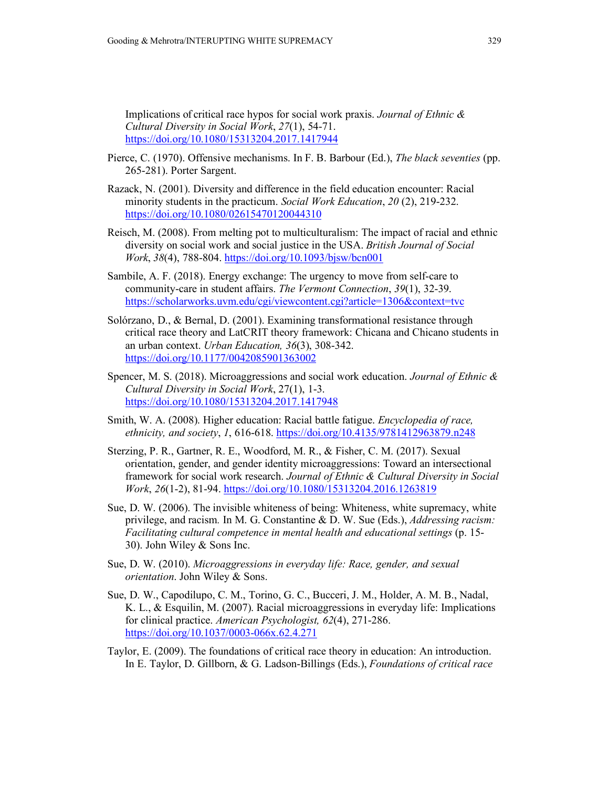Implications of critical race hypos for social work praxis. *Journal of Ethnic & Cultural Diversity in Social Work*, *27*(1), 54-71. <https://doi.org/10.1080/15313204.2017.1417944>

- Pierce, C. (1970). Offensive mechanisms. In F. B. Barbour (Ed.), *The black seventies* (pp. 265-281). Porter Sargent.
- Razack, N. (2001). Diversity and difference in the field education encounter: Racial minority students in the practicum. *Social Work Education*, *20* (2), 219-232. <https://doi.org/10.1080/02615470120044310>
- Reisch, M. (2008). From melting pot to multiculturalism: The impact of racial and ethnic diversity on social work and social justice in the USA. *British Journal of Social Work*, *38*(4), 788-804[. https://doi.org/10.1093/bjsw/bcn001](https://doi.org/10.1093/bjsw/bcn001)
- Sambile, A. F. (2018). Energy exchange: The urgency to move from self-care to community-care in student affairs. *The Vermont Connection*, *39*(1), 32-39. <https://scholarworks.uvm.edu/cgi/viewcontent.cgi?article=1306&context=tvc>
- Solórzano, D., & Bernal, D. (2001). Examining transformational resistance through critical race theory and LatCRIT theory framework: Chicana and Chicano students in an urban context. *Urban Education, 36*(3), 308-342. <https://doi.org/10.1177/0042085901363002>
- Spencer, M. S. (2018). Microaggressions and social work education. *Journal of Ethnic & Cultural Diversity in Social Work*, 27(1), 1-3. <https://doi.org/10.1080/15313204.2017.1417948>
- Smith, W. A. (2008). Higher education: Racial battle fatigue. *Encyclopedia of race, ethnicity, and society*, *1*, 616-618. <https://doi.org/10.4135/9781412963879.n248>
- Sterzing, P. R., Gartner, R. E., Woodford, M. R., & Fisher, C. M. (2017). Sexual orientation, gender, and gender identity microaggressions: Toward an intersectional framework for social work research. *Journal of Ethnic & Cultural Diversity in Social Work*, *26*(1-2), 81-94.<https://doi.org/10.1080/15313204.2016.1263819>
- Sue, D. W. (2006). The invisible whiteness of being: Whiteness, white supremacy, white privilege, and racism*.* In M. G. Constantine & D. W. Sue (Eds.), *Addressing racism: Facilitating cultural competence in mental health and educational settings* (p. 15- 30). John Wiley & Sons Inc.
- Sue, D. W. (2010). *Microaggressions in everyday life: Race, gender, and sexual orientation*. John Wiley & Sons.
- Sue, D. W., Capodilupo, C. M., Torino, G. C., Bucceri, J. M., Holder, A. M. B., Nadal, K. L., & Esquilin, M. (2007). Racial microaggressions in everyday life: Implications for clinical practice. *American Psychologist, 62*(4), 271-286. <https://doi.org/10.1037/0003-066x.62.4.271>
- Taylor, E. (2009). The foundations of critical race theory in education: An introduction. In E. Taylor, D. Gillborn, & G. Ladson-Billings (Eds.), *Foundations of critical race*